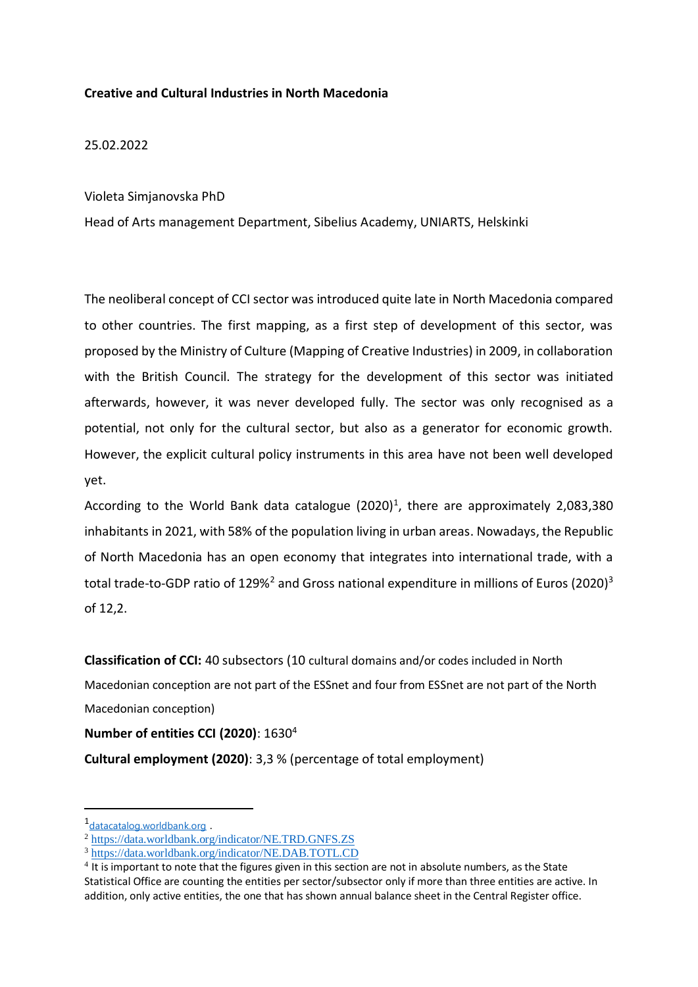## **Creative and Cultural Industries in North Macedonia**

25.02.2022

## Violeta Simjanovska PhD

Head of Arts management Department, Sibelius Academy, UNIARTS, Helskinki

The neoliberal concept of CCI sector was introduced quite late in North Macedonia compared to other countries. The first mapping, as a first step of development of this sector, was proposed by the Ministry of Culture (Mapping of Creative Industries) in 2009, in collaboration with the British Council. The strategy for the development of this sector was initiated afterwards, however, it was never developed fully. The sector was only recognised as a potential, not only for the cultural sector, but also as a generator for economic growth. However, the explicit cultural policy instruments in this area have not been well developed yet.

According to the World Bank data catalogue  $(2020)^1$ , there are approximately 2,083,380 inhabitants in 2021, with 58% of the population living in urban areas. Nowadays, the Republic of North Macedonia has an open economy that integrates into international trade, with a total trade-to-GDP ratio of 129%<sup>2</sup> and Gross national expenditure in millions of Euros (2020)<sup>3</sup> of 12,2.

**Classification of CCI:** 40 subsectors (10 cultural domains and/or codes included in North Macedonian conception are not part of the ESSnet and four from ESSnet are not part of the North Macedonian conception)

**Number of entities CCI (2020)**: 1630<sup>4</sup>

**Cultural employment (2020)**: 3,3 % (percentage of total employment)

-

<sup>1&</sup>lt;sub>[datacatalog.worldbank.org](https://datacatalog.worldbank.org/dataset/world-development-indicators/)</sub>

<sup>2</sup> <https://data.worldbank.org/indicator/NE.TRD.GNFS.ZS>

<sup>3</sup> <https://data.worldbank.org/indicator/NE.DAB.TOTL.CD>

 $<sup>4</sup>$  It is important to note that the figures given in this section are not in absolute numbers, as the State</sup> Statistical Office are counting the entities per sector/subsector only if more than three entities are active. In addition, only active entities, the one that has shown annual balance sheet in the Central Register office.